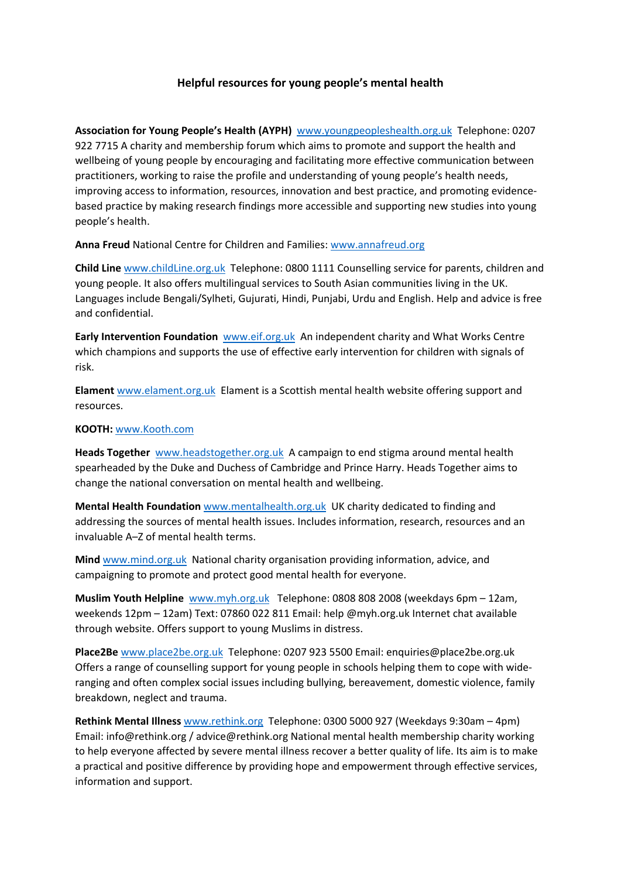## **Helpful resources for young people's mental health**

**Association for Young People's Health (AYPH)** www.youngpeopleshealth.org.uk Telephone: 0207 922 7715 A charity and membership forum which aims to promote and support the health and wellbeing of young people by encouraging and facilitating more effective communication between practitioners, working to raise the profile and understanding of young people's health needs, improving access to information, resources, innovation and best practice, and promoting evidencebased practice by making research findings more accessible and supporting new studies into young people's health.

**Anna Freud** National Centre for Children and Families: www.annafreud.org

**Child Line** www.childLine.org.uk Telephone: 0800 1111 Counselling service for parents, children and young people. It also offers multilingual services to South Asian communities living in the UK. Languages include Bengali/Sylheti, Gujurati, Hindi, Punjabi, Urdu and English. Help and advice is free and confidential.

**Early Intervention Foundation** www.eif.org.uk An independent charity and What Works Centre which champions and supports the use of effective early intervention for children with signals of risk.

**Elament** www.elament.org.uk Elament is a Scottish mental health website offering support and resources.

## **KOOTH:** www.Kooth.com

**Heads Together** www.headstogether.org.uk A campaign to end stigma around mental health spearheaded by the Duke and Duchess of Cambridge and Prince Harry. Heads Together aims to change the national conversation on mental health and wellbeing.

**Mental Health Foundation** www.mentalhealth.org.uk UK charity dedicated to finding and addressing the sources of mental health issues. Includes information, research, resources and an invaluable A–Z of mental health terms.

**Mind** www.mind.org.uk National charity organisation providing information, advice, and campaigning to promote and protect good mental health for everyone.

**Muslim Youth Helpline** www.myh.org.uk Telephone: 0808 808 2008 (weekdays 6pm – 12am, weekends 12pm – 12am) Text: 07860 022 811 Email: help @myh.org.uk Internet chat available through website. Offers support to young Muslims in distress.

**Place2Be** www.place2be.org.uk Telephone: 0207 923 5500 Email: enquiries@place2be.org.uk Offers a range of counselling support for young people in schools helping them to cope with wideranging and often complex social issues including bullying, bereavement, domestic violence, family breakdown, neglect and trauma.

**Rethink Mental Illness** www.rethink.org Telephone: 0300 5000 927 (Weekdays 9:30am – 4pm) Email: info@rethink.org / advice@rethink.org National mental health membership charity working to help everyone affected by severe mental illness recover a better quality of life. Its aim is to make a practical and positive difference by providing hope and empowerment through effective services, information and support.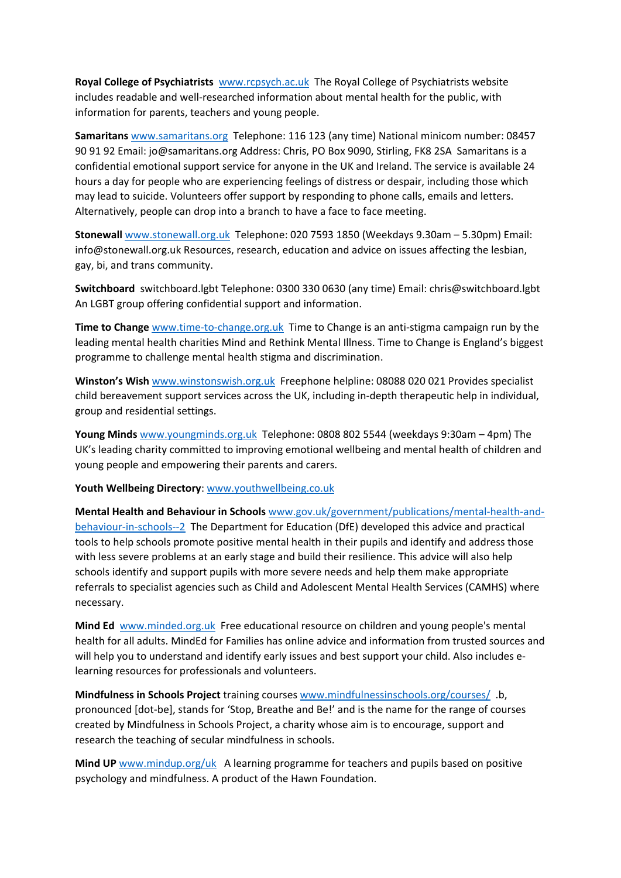**Royal College of Psychiatrists** www.rcpsych.ac.uk The Royal College of Psychiatrists website includes readable and well-researched information about mental health for the public, with information for parents, teachers and young people.

**Samaritans** www.samaritans.org Telephone: 116 123 (any time) National minicom number: 08457 90 91 92 Email: jo@samaritans.org Address: Chris, PO Box 9090, Stirling, FK8 2SA Samaritans is a confidential emotional support service for anyone in the UK and Ireland. The service is available 24 hours a day for people who are experiencing feelings of distress or despair, including those which may lead to suicide. Volunteers offer support by responding to phone calls, emails and letters. Alternatively, people can drop into a branch to have a face to face meeting.

**Stonewall** www.stonewall.org.uk Telephone: 020 7593 1850 (Weekdays 9.30am – 5.30pm) Email: info@stonewall.org.uk Resources, research, education and advice on issues affecting the lesbian, gay, bi, and trans community.

**Switchboard** switchboard.lgbt Telephone: 0300 330 0630 (any time) Email: chris@switchboard.lgbt An LGBT group offering confidential support and information.

**Time to Change** www.time-to-change.org.uk Time to Change is an anti-stigma campaign run by the leading mental health charities Mind and Rethink Mental Illness. Time to Change is England's biggest programme to challenge mental health stigma and discrimination.

**Winston's Wish** www.winstonswish.org.uk Freephone helpline: 08088 020 021 Provides specialist child bereavement support services across the UK, including in-depth therapeutic help in individual, group and residential settings.

**Young Minds** www.youngminds.org.uk Telephone: 0808 802 5544 (weekdays 9:30am – 4pm) The UK's leading charity committed to improving emotional wellbeing and mental health of children and young people and empowering their parents and carers.

**Youth Wellbeing Directory**: www.youthwellbeing.co.uk

**Mental Health and Behaviour in Schools** www.gov.uk/government/publications/mental-health-andbehaviour-in-schools--2 The Department for Education (DfE) developed this advice and practical tools to help schools promote positive mental health in their pupils and identify and address those with less severe problems at an early stage and build their resilience. This advice will also help schools identify and support pupils with more severe needs and help them make appropriate referrals to specialist agencies such as Child and Adolescent Mental Health Services (CAMHS) where necessary.

**Mind Ed** www.minded.org.uk Free educational resource on children and young people's mental health for all adults. MindEd for Families has online advice and information from trusted sources and will help you to understand and identify early issues and best support your child. Also includes elearning resources for professionals and volunteers.

**Mindfulness in Schools Project** training courses www.mindfulnessinschools.org/courses/ .b, pronounced [dot-be], stands for 'Stop, Breathe and Be!' and is the name for the range of courses created by Mindfulness in Schools Project, a charity whose aim is to encourage, support and research the teaching of secular mindfulness in schools.

**Mind UP** www.mindup.org/uk A learning programme for teachers and pupils based on positive psychology and mindfulness. A product of the Hawn Foundation.